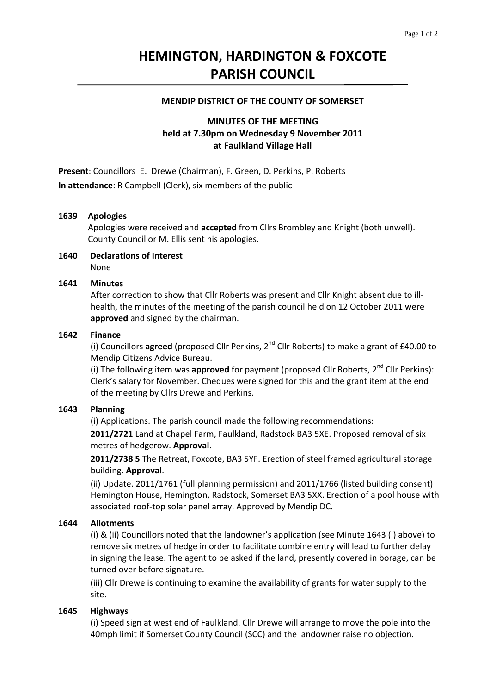# **HEMINGTON, HARDINGTON & FOXCOTE PARISH COUNCIL**

### **MENDIP DISTRICT OF THE COUNTY OF SOMERSET**

# **MINUTES OF THE MEETING held at 7.30pm on Wednesday 9 November 2011 at Faulkland Village Hall**

**Present**: Councillors E. Drewe (Chairman), F. Green, D. Perkins, P. Roberts **In attendance**: R Campbell (Clerk), six members of the public

#### **1639 Apologies**

Apologies were received and **accepted** from Cllrs Brombley and Knight (both unwell). County Councillor M. Ellis sent his apologies.

#### **1640 Declarations of Interest** None

#### **1641 Minutes**

 After correction to show that Cllr Roberts was present and Cllr Knight absent due to ill‐ health, the minutes of the meeting of the parish council held on 12 October 2011 were **approved** and signed by the chairman.

#### **1642 Finance**

(i) Councillors **agreed** (proposed Cllr Perkins, 2nd Cllr Roberts) to make a grant of £40.00 to Mendip Citizens Advice Bureau.

(i) The following item was approved for payment (proposed Cllr Roberts, 2<sup>nd</sup> Cllr Perkins): Clerk's salary for November. Cheques were signed for this and the grant item at the end of the meeting by Cllrs Drewe and Perkins.

## **1643 Planning**

(i) Applications. The parish council made the following recommendations:

**2011/2721** Land at Chapel Farm, Faulkland, Radstock BA3 5XE. Proposed removal of six metres of hedgerow. **Approval**.

**2011/2738 5** The Retreat, Foxcote, BA3 5YF. Erection of steel framed agricultural storage building. **Approval**.

(ii) Update. 2011/1761 (full planning permission) and 2011/1766 (listed building consent) Hemington House, Hemington, Radstock, Somerset BA3 5XX. Erection of a pool house with associated roof‐top solar panel array. Approved by Mendip DC.

## **1644 Allotments**

(i) & (ii) Councillors noted that the landowner's application (see Minute 1643 (i) above) to remove six metres of hedge in order to facilitate combine entry will lead to further delay in signing the lease. The agent to be asked if the land, presently covered in borage, can be turned over before signature.

 (iii) Cllr Drewe is continuing to examine the availability of grants for water supply to the site.

## **1645 Highways**

(i) Speed sign at west end of Faulkland. Cllr Drewe will arrange to move the pole into the 40mph limit if Somerset County Council (SCC) and the landowner raise no objection.